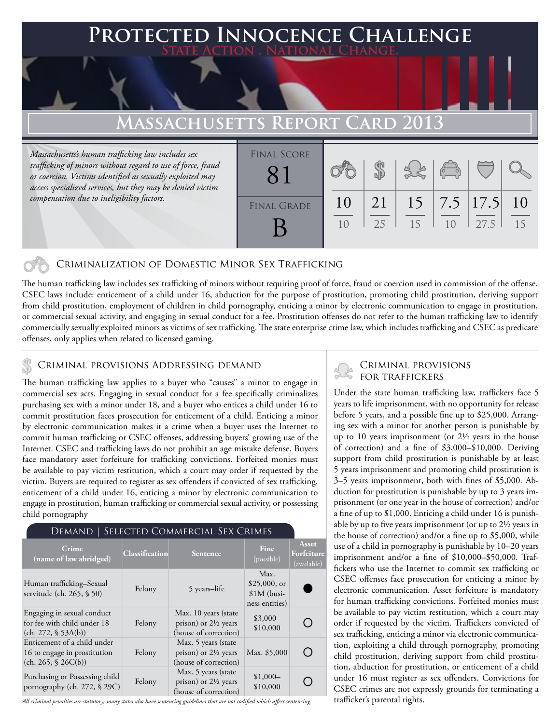# **Protected Innocence Challenge State Action . National Change.**

### **Massachusetts Report Card 2013**

*Massachusetts's human trafficking law includes sex trafficking of minors without regard to use of force, fraud or coercion. Victims identified as sexually exploited may access specialized services, but they may be denied victim compensation due to ineligibility factors.*

| <b>FINAL SCORE</b> |          |          |    | $\sqrt{\frac{1}{10}}$ |                             |                     |
|--------------------|----------|----------|----|-----------------------|-----------------------------|---------------------|
| <b>FINAL GRADE</b> | 10<br>10 | 21<br>25 | 15 | 10                    | $15$   7.5   17.5  <br>27.5 | <sup>10</sup><br>15 |

### Criminalization of Domestic Minor Sex Trafficking

The human trafficking law includes sex trafficking of minors without requiring proof of force, fraud or coercion used in commission of the offense. CSEC laws include: enticement of a child under 16, abduction for the purpose of prostitution, promoting child prostitution, deriving support from child prostitution, employment of children in child pornography, enticing a minor by electronic communication to engage in prostitution, or commercial sexual activity, and engaging in sexual conduct for a fee. Prostitution offenses do not refer to the human trafficking law to identify commercially sexually exploited minors as victims of sex trafficking. The state enterprise crime law, which includes trafficking and CSEC as predicate offenses, only applies when related to licensed gaming.

## CRIMINAL PROVISIONS ADDRESSING DEMAND<br>FOR TRAFFICKERS

The human trafficking law applies to a buyer who "causes" a minor to engage in commercial sex acts. Engaging in sexual conduct for a fee specifically criminalizes purchasing sex with a minor under 18, and a buyer who entices a child under 16 to commit prostitution faces prosecution for enticement of a child. Enticing a minor by electronic communication makes it a crime when a buyer uses the Internet to commit human trafficking or CSEC offenses, addressing buyers' growing use of the Internet. CSEC and trafficking laws do not prohibit an age mistake defense. Buyers face mandatory asset forfeiture for trafficking convictions. Forfeited monies must be available to pay victim restitution, which a court may order if requested by the victim. Buyers are required to register as sex offenders if convicted of sex trafficking, enticement of a child under 16, enticing a minor by electronic communication to engage in prostitution, human trafficking or commercial sexual activity, or possessing child pornography

# Demand | Selected Commercial Sex Crimes

| Crime<br>(name of law abridged)                                                      | <b>Classification</b> | <b>Sentence</b>                                                                  | Fine<br>(possible)                                       | <b>Asset</b><br>Forfeiture<br>(available) |
|--------------------------------------------------------------------------------------|-----------------------|----------------------------------------------------------------------------------|----------------------------------------------------------|-------------------------------------------|
| Human trafficking–Sexual<br>servitude (ch. 265, § 50)                                | Felony                | 5 years-life                                                                     | Max.<br>$$25,000$ , or<br>$$1M$ (busi-<br>ness entities) |                                           |
| Engaging in sexual conduct<br>for fee with child under 18<br>(ch. 272, § 53A(b))     | Felony                | Max. 10 years (state<br>prison) or $2\frac{1}{2}$ years<br>(house of correction) | $$3,000-$<br>\$10,000                                    |                                           |
| Enticement of a child under<br>16 to engage in prostitution<br>(ch. 265, $$26C(b)$ ) | Felony                | Max. 5 years (state<br>prison) or $2\frac{1}{2}$ years<br>(house of correction)  | Max. \$5,000                                             | $\qquad \qquad$                           |
| Purchasing or Possessing child<br>pornography (ch. 272, § 29C)                       | Felony                | Max. 5 years (state<br>prison) or $2\frac{1}{2}$ years<br>(house of correction)  | $$1,000-$<br>\$10,000                                    |                                           |

*All criminal penalties are statutory; many states also have sentencing guidelines that are not codified which affect sentencing.* 

# Criminal provisions

Under the state human trafficking law, traffickers face 5 years to life imprisonment, with no opportunity for release before 5 years, and a possible fine up to \$25,000. Arranging sex with a minor for another person is punishable by up to 10 years imprisonment (or 2½ years in the house of correction) and a fine of \$3,000–\$10,000. Deriving support from child prostitution is punishable by at least 5 years imprisonment and promoting child prostitution is 3–5 years imprisonment, both with fines of \$5,000. Abduction for prostitution is punishable by up to 3 years imprisonment (or one year in the house of correction) and/or a fine of up to \$1,000. Enticing a child under 16 is punishable by up to five years imprisonment (or up to 2½ years in the house of correction) and/or a fine up to \$5,000, while use of a child in pornography is punishable by 10–20 years imprisonment and/or a fine of \$10,000–\$50,000. Traffickers who use the Internet to commit sex trafficking or CSEC offenses face prosecution for enticing a minor by electronic communication. Asset forfeiture is mandatory for human trafficking convictions. Forfeited monies must be available to pay victim restitution, which a court may order if requested by the victim. Traffickers convicted of sex trafficking, enticing a minor via electronic communication, exploiting a child through pornography, promoting child prostitution, deriving support from child prostitution, abduction for prostitution, or enticement of a child under 16 must register as sex offenders. Convictions for CSEC crimes are not expressly grounds for terminating a trafficker's parental rights.